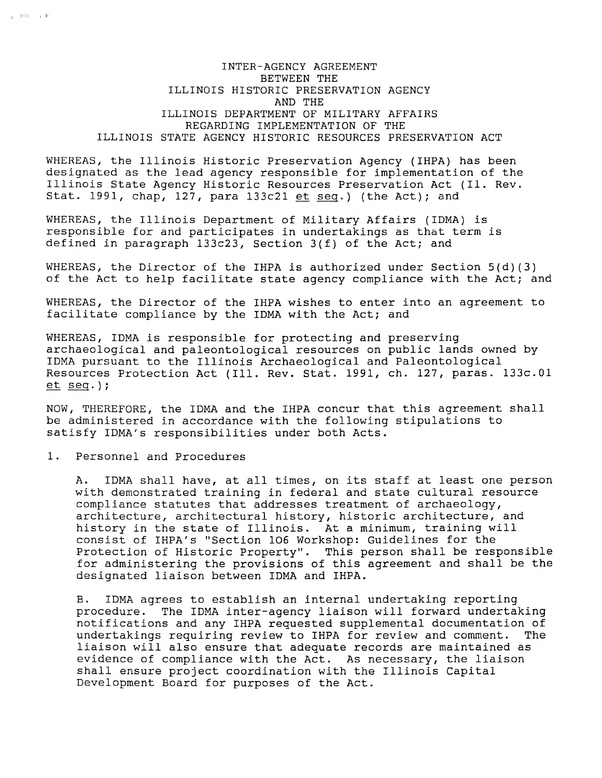# INTER-AGENCY AGREEMENT BETWEEN THE ILLINOIS HISTORIC PRESERVATION AGENCY AND THE ILLINOIS DEPARTMENT OF MILITARY AFFAIRS REGARDING IMPLEMENTATION OF THE ILLINOIS STATE AGENCY HISTORIC RESOURCES PRESERVATION ACT

WHEREAS, the Illinois Historic Preservation Agency (IHPA) has been designated as the lead agency responsible for implementation of the Illinois State Agency Historic Resources Preservation Act (Il. Rev. Stat. 1991, chap, 127, para 133c21 et seq.) (the Act); and

WHEREAS, the Illinois Department of Military Affairs (IDMA) is responsible for and participates in undertakings as that term is defined in paragraph 133c23, Section 3(f) of the Act; and

WHEREAS, the Director of the IHPA is authorized under Section  $5(d)(3)$ of the Act to help facilitate state agency compliance with the Act; and

WHEREAS, the Director of the IHPA wishes to enter into an agreement to facilitate compliance by the IDMA with the Act; and

WHEREAS, IDMA is responsible for protecting and preserving archaeological and paleontological resources on public lands owned by IDMA pursuant to the Illinois Archaeological and Paleontological Resources Protection Act (Ill. Rev. Stat. 1991, ch. 127, paras. 133c.0l  $et seq.$  ) ;

NOW, THEREFORE, the IDMA and the IHPA concur that this agreement shall be administered in accordance with the following stipulations to satisfy IDMA's responsibilities under both Acts.

1. Personnel and Procedures

 $\frac{1}{16}$  ,  $\frac{1}{2}$  ,  $\frac{1}{2}$  ,  $\frac{1}{2}$ 

A. IDMA shall have, at all times, on its staff at least one person with demonstrated training in federal and state cultural resource compliance statutes that addresses treatment of archaeology, architecture, architectural history, historic architecture, and history in the state of Illinois. At a minimum, training will consist of IHPA's "Section 106 Workshop: Guidelines for the Protection of Historic Property". This person shall be responsible for administering the provisions of this agreement and shall be the designated liaison between IDMA and IHPA.

B. IDMA agrees to establish an internal undertaking reporting procedure. The IDMA inter-agency liaison will forward undertaking notifications and any IHPA requested supplemental documentation of undertakings requiring review to IHPA for review and comment. liaison will also ensure that adequate records are maintained as evidence of compliance with the Act. As necessary, the liaison shall ensure project coordination with the Illinois Capital Development Board for purposes of the Act.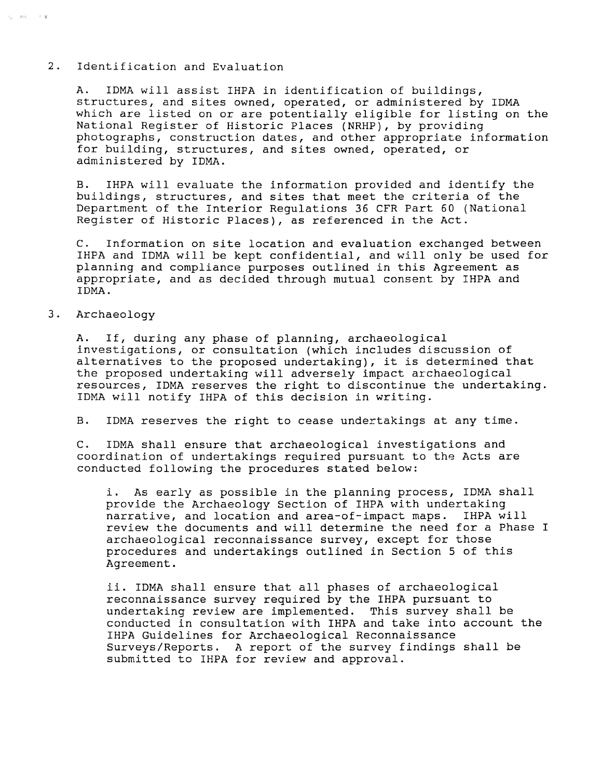## 2. Identification and Evaluation

A. IDMA will assist IHPA in identification of buildings, structures, and sites owned, operated, or administered by IDMA which are listed on or are potentially eligible for listing on the National Register of Historic Places (NRHP), by providing photographs, construction dates, and other appropriate information for building, structures, and sites owned, operated, or administered by IDMA.

B. IHPA will evaluate the information provided and identify the buildings, structures, and sites that meet the criteria of the Department of the Interior Regulations 36 CFR Part 60 (National Register of Historic Places), as referenced in the Act.

C. Information on site location and evaluation exchanged between IHPA and IDMA will be kept confidential, and will only be used for planning and compliance purposes outlined in this Agreement as appropriate, and as decided through mutual consent by IHPA and IDMA.

3. Archaeology

 $\hat{\tau}_{\rm g} = g \hat{m}_{\rm s}^{\rm s}$  (  $\hat{\tau}$  ) if

A. If, during any phase of planning, archaeological investigations, or consultation (which includes discussion of alternatives to the proposed undertaking), it is determined that the proposed undertaking will adversely impact archaeological resources, IDMA reserves the right to discontinue the undertaking. IDMA will notify IHPA of this decision in writing.

B. IDMA reserves the right to cease undertakings at any time.

C. IDMA shall ensure that archaeological investigations and coordination of undertakings required pursuant to the Acts are conducted following the procedures stated below:

i. As early as possible in the planning process, IDMA shall provide the Archaeology Section of IHPA with undertaking<br>narrative, and location and area-of-impact maps. IHPA will narrative, and location and area-of-impact maps. review the documents and will determine the need for a Phase I archaeological reconnaissance survey, except for those procedures and undertakings outlined in Section 5 of this Agreement.

ii. IDMA shall ensure that all phases of archaeological reconnaissance survey required by the IHPA pursuant to undertaking review are implemented. This survey shall be conducted in consultation with IHPA and take into account the IHPA Guidelines for Archaeological Reconnaissance Surveys/Reports. A report of the survey findings shall be submitted to IHPA for review and approval.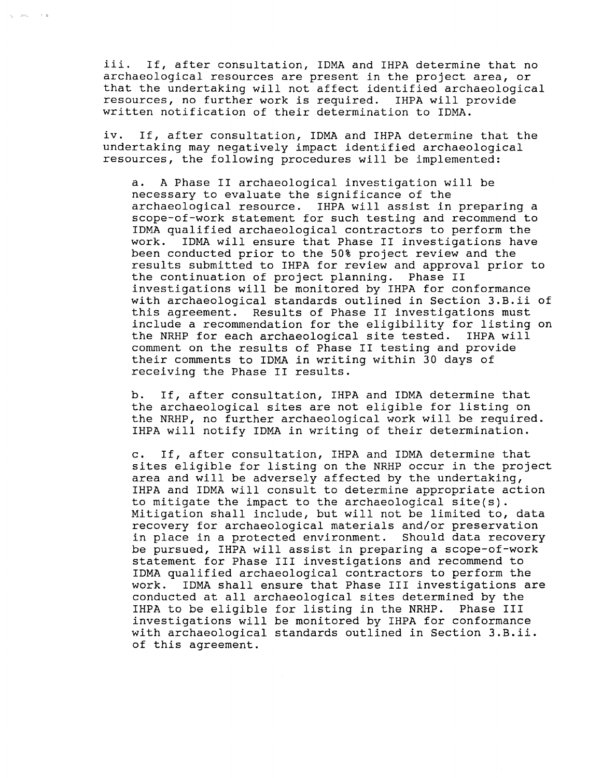iii. If, after consultation, IDMA and IHPA determine that no archaeological resources are present in the project area, or that the undertaking will not affect identified archaeological<br>resources, no further work is required. IHPA will provide resources, no further work is required. written notification of their determination to IDMA.

 $\chi_{\rm{g}} = -2.65\,\rm{g}$  ,  $\chi_{\rm{g}} = 1.5\,\rm{g}$ 

iv. If, after consultation, IDMA and IHPA determine that the undertaking may negatively impact identified archaeological resources, the following procedures will be implemented:

a. A Phase II archaeological investigation will be necessary to evaluate the significance of the archaeological resource. IHPA will assist in preparing a scope-of-work statement for such testing and recommend to IDMA qualified archaeological contractors to perform the IDMA will ensure that Phase II investigations have been conducted prior to the 50% project review and the results submitted to IHPA for review and approval prior to the continuation of project planning. Phase II investigations will be monitored by IHPA for conformance with archaeological standards outlined in Section 3.B.ii of this agreement. Results of Phase II investigations must include a recommendation for the eligibility for listing on the NRHP for each archaeological site tested. IHPA will comment on the results of Phase II testing and provide their comments to IDMA in writing within 30 days of receiving the Phase II results.

b. If, after consultation, IHPA and IDMA determine that the archaeological sites are not eligible for listing on the NRHP, no further archaeological work will be required. IHPA will notify IDMA in writing of their determination.

c. If, after consultation, IHPA and IDMA determine that sites eligible for listing on the NRHP occur in the project area and will be adversely affected by the undertaking, IHPA and IDMA will consult to determine appropriate action to mitigate the impact to the archaeological site(s). Mitigation shall include, but will not be limited to, data recovery for archaeological materials and/or preservation in place in a protected environment. Should data recovery be pursued, IHPA will assist in preparing a scope-of-work statement for Phase III investigations and recommend to IDMA qualified archaeological contractors to perform the work. IDMA shall ensure that Phase III investigations are conducted at all archaeological sites determined by the IHPA to be eligible for listing in the NRHP. Phase III investigations will be monitored by IHPA for conformance with archaeological standards outlined in Section 3.B.ii. of this agreement.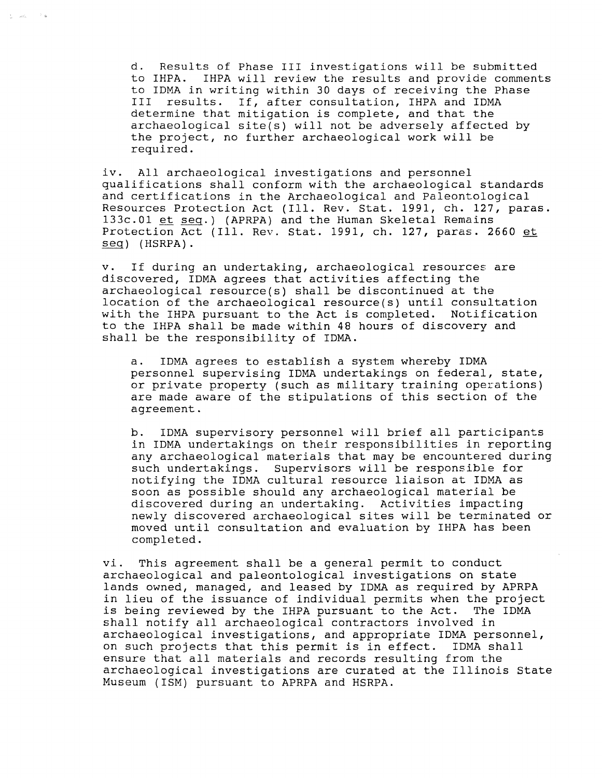d. Results of Phase III investigations will be submitted to IHPA. IHPA will review the results and provide comments to IDMA in writing within 30 days of receiving the Phase<br>III results. If after consultation. THPA and IDMA results. If, after consultation, IHPA and IDMA determine that mitigation is complete, and that the  $archaeological site(s) will not be adversary affected by$ the project, no further archaeological work will be required.

 $\frac{1}{2\pi}=\frac{1}{2\pi\sigma_{\rm{BH}}}\left(\tau_{\rm{eff}}\right)^{-1}$  . In

iv. All archaeological investigations and personnel qualifications shall conform with the archaeological standards and certifications in the Archaeological and Paleontological Resources Protection Act (Ill. Rev. Stat. 1991, ch. 127, paras. 133c.01 et seq.) (APRPA) and the Human Skeletal Remains Protection Act (Ill. Rev. Stat. 1991, ch. 127, paras. 2660 et seq) (HSRPA).

v. If during an undertaking, archaeological resources are discovered, IDMA agrees that activities affecting the archaeological resource(s) shall be discontinued at the location of the archaeological resource(s) until consultation with the IHPA pursuant to the Act is completed. Notification to the IHPA shall be made within 48 hours of discovery and shall be the responsibility of IDMA.

a. IDMA agrees to establish a system whereby IDMA personnel supervising IDMA undertakings on federal, state, or private property (such as military training operations) are made aware of the stipulations of this section of the agreement.

b. IDMA supervisory personnel will brief all participants in IDMA undertakings on their responsibilities in reporting any archaeological materials that may be encountered during such undertakings. Supervisors will be responsible for notifying the IDMA cultural resource liaison at IDMA as soon as possible should any archaeological material be discovered during an undertaking. Activities impacting newly discovered archaeological sites will be terminated or moved until consultation and evaluation by IHPA has been completed.

vi. This agreement shall be a general permit to conduct archaeological and paleontological investigations on state lands owned, managed, and leased by IDMA as required by APRPA in lieu of the issuance of individual permits when the project<br>is being reviewed by the IHPA pursuant to the Act. The IDMA is being reviewed by the IHPA pursuant to the Act. shall notify all archaeological contractors involved in archaeological investigations, and appropriate IDMA personnel,<br>on such projects that this permit is in effect. IDMA shall on such projects that this permit is in effect. ensure that all materials and records resulting from the archaeological investigations are curated at the Illinois State Museum (ISM) pursuant to APRPA and HSRPA.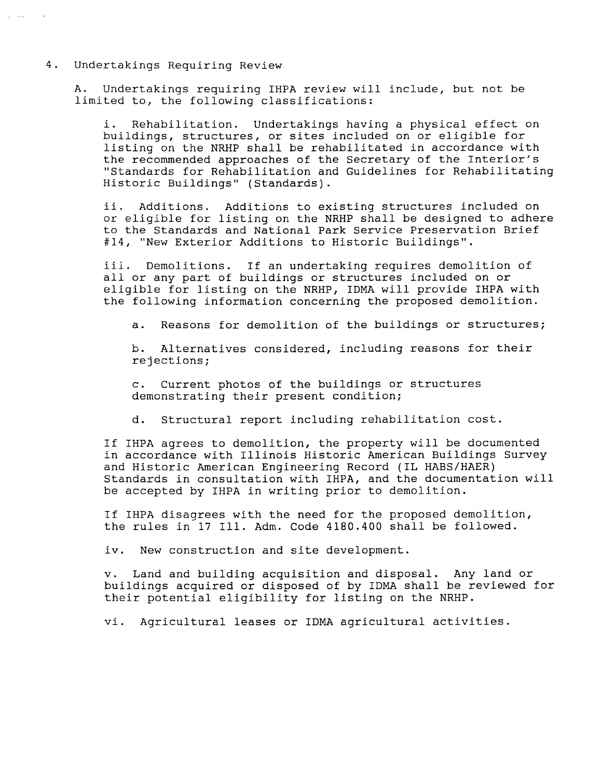### 4. Undertakings Requiring Review

 $\int_{\Omega_{\rm{c}}^{\rm{d}}}\left(\cos\theta_{\rm{c}}\right) d\theta_{\rm{c}}$  , we define

A. Undertakings requiring IHPA review will include, but not be limited to, the following classifications:

i. Rehabilitation. Undertakings having a physical effect on buildings, structures, or sites included on or eligible for listing on the NRHP shall be rehabilitated in accordance with the recommended approaches of the Secretary of the Interior's "Standards for Rehabilitation and Guidelines for Rehabilitating Historic Buildings" (Standards).

ii. Additions. Additions to existing structures included on or eligible for listing on the NRHP shall be designed to adhere to the Standards and National Park Service Preservation Brief #14, "New Exterior Additions to Historic Buildings".

iil. Demolitions. If an undertaking requires demolition of all or any part of buildings or structures included on or eligible for listing on the NRHP, IDMA will provide IHPA with the following information concerning the proposed demolition.

a. Reasons for demolition of the buildings or structures;

b. Alternatives considered, including reasons for their rejections;

c. Current photos of the buildings or structures demonstrating their present condition;

d. Structural report including rehabilitation cost.

If IHPA agrees to demolition, the property will be documented in accordance with Illinois Historic American Buildings Survey and Historic American Engineering Record (IL HABS/HAER) Standards in consultation with IHPA, and the documentation will be accepted by IHPA in writing prior to demolition.

If IHPA disagrees with the need for the proposed demolition, the rules in 17 Ill. Adm. Code 4180.400 shall be followed.

iv. New construction and site development.

v. Land and building acquisition and disposal. Any land or buildings acquired or disposed of by IDMA shall be reviewed for their potential eligibility for listing on the NRHP.

vi. Agricultural leases or IDMA agricultural activities.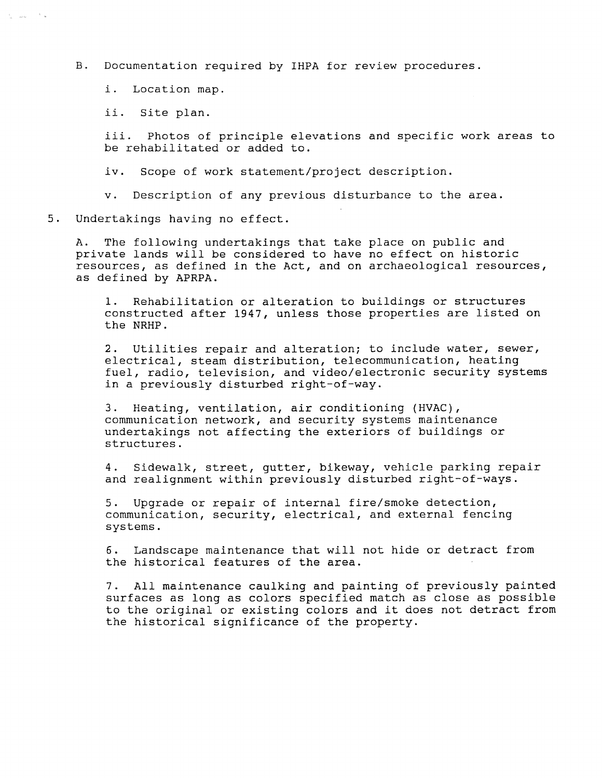B. Documentation required by IHPA for review procedures.

i. Location map.

ii. Site plan.

 $\ell_{\rm g} = \log \ell = \ell^{-3}$  (see

iii. Photos of principle elevations and specific work areas to be rehabilitated or added to.

iv. Scope of work statement/project description.

v. Description of any previous disturbance to the area.

5. Undertakings having no effect.

A. The following undertakings that take place on public and private lands will be considered to have no effect on historic resources, as defined in the Act, and on archaeological resources, as defined by APRPA.

1. Rehabilitation or alteration to buildings or structures constructed after 1947, unless those properties are listed on the NRHP.

2. Utilities repair and alteration; to include water, sewer, electrical, steam distribution, telecommunication, heating fuel, radio, television, and video/electronic security systems in a previously disturbed right-of-way.

3. Heating, ventilation, air conditioning (HVAC), communication network, and security systems maintenance undertakings not affecting the exteriors of buildings or structures.

4. Sidewalk, street, gutter, bikeway, vehicle parking repair and realignment within previously disturbed right-of-ways.

5. Upgrade or repair of internal fire/smoke detection, communication, security, electrical, and external fencing systems.

6. Landscape maintenance that will not hide or detract from the historical features of the area.

7. All maintenance caulking and painting of previously painted surfaces as long as colors specified match as close as possible to the original or existing colors and it does not detract from the historical significance of the property.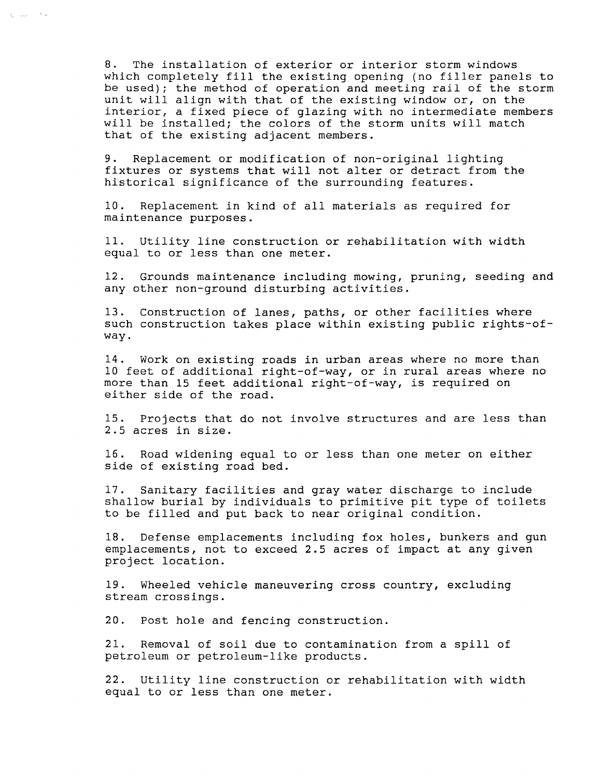8. The installation of exterior or interior storm windows which completely fill the existing opening (no filler panels to be used); the method of operation and meeting rail of the storm unit will align with that of the existing window or, on the interior, a fixed piece of glazing with no intermediate members will be installed; the colors of the storm units will match that of the existing adjacent members.

 $\hat{\xi}_\text{max} = \frac{1}{\sqrt{2}} \hat{\mathbf{x}}$ 

9. Replacement or modification of non-original lighting fixtures or systems that will not alter or detract from the historical significance of the surrounding features.

10. Replacement in kind of all materials as required for maintenance purposes.

11. Utility line construction or rehabilitation with width equal to or less than one meter.

12. Grounds maintenance including mowing, pruning, seeding and any other non-ground disturbing activities.

13. Construction of lanes, paths, or other facilities where such construction takes place within existing public rights-ofway.

14. Work on existing roads in urban areas where no more than 10 feet of additional right-of-way, or in rural areas where no more than 15 feet additional right-of-way, is required on either side of the road.

15. Projects that do not involve structures and are less than 2.5 acres in size.

16. Road widening equal to or less than one meter on either side of existing road bed.

17. Sanitary facilities and gray water discharge to include shallow burial by individuals to primitive pit type of toilets to be filled and put back to near original condition.

18. Defense emplacements including fox holes, bunkers and gun emplacements, not to exceed 2.5 acres of impact at any given project location.

19. Wheeled vehicle maneuvering cross country, excluding stream crossings.

20. Post hole and fencing construction.

21. Removal of soil due to contamination from a spill of petroleum or petroleum-like products.

22. Utility line construction or rehabilitation with width equal to or less than one meter.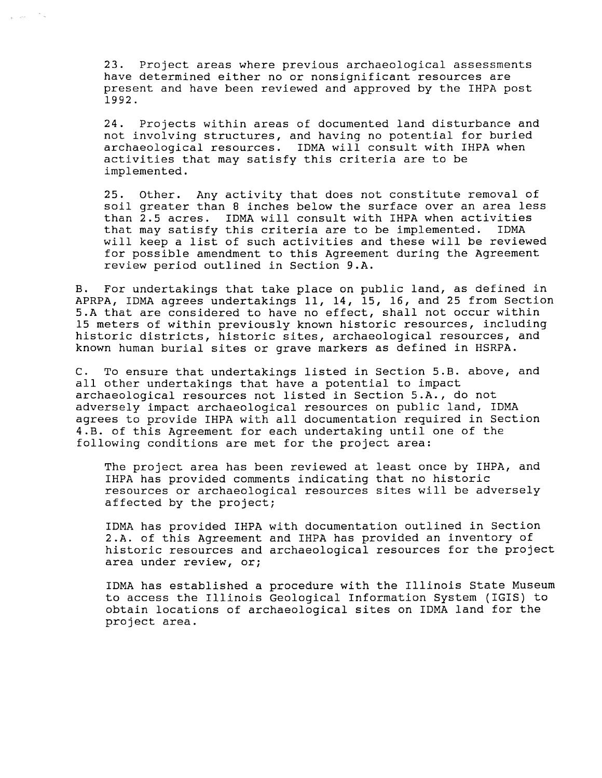23. Project areas where previous archaeological assessments have determined either no or nonsignificant resources are present and have been reviewed and approved by the IHPA post 1992.

 $\zeta = \zeta^{\mu\nu}$ 

24. Projects within areas of documented land disturbance and not involving structures, and having no potential for buried archaeological resources. IDMA will consult with IHPA when activities that may satisfy this criteria are to be implemented.

25. Other. Any activity that does not constitute removal of soil greater than 8 inches below the surface over an area less than 2.5 acres. IDMA will consult with IHPA when activities that may satisfy this criteria are to be implemented. will keep a list of such activities and these will be reviewed for possible amendment to this Agreement during the Agreement review period outlined in Section 9.A.

B. For undertakings that take place on public land, as defined in APRPA, IDMA agrees undertakings 11, 14, 15, 16, and 25 from Section 5.A that are considered to have no effect, shall not occur within 15 meters of within previously known historic resources, including historic districts, historic sites, archaeological resources, and known human burial sites or grave markers as defined in HSRPA.

C. To ensure that undertakings listed in Section 5.B. above, and all other undertakings that have a potential to impact archaeological resources not listed in Section 5.A., do not adversely impact archaeological resources on public land, IDMA agrees to provide IHPA with all documentation required in Section 4.B. of this Agreement for each undertaking until one of the following conditions are met for the project area:

The project area has been reviewed at least once by IHPA, and IHPA has provided comments indicating that no historic resources or archaeological resources sites will be adversely affected by the project;

IDMA has provided IHPA with documentation outlined in Section 2.A. of this Agreement and IHPA has provided an inventory of historic resources and archaeological resources for the project area under review, or;

IDMA has established a procedure with the Illinois State Museum to access the Illinois Geological Information System (IGIS) to obtain locations of archaeological sites on IDMA land for the project area.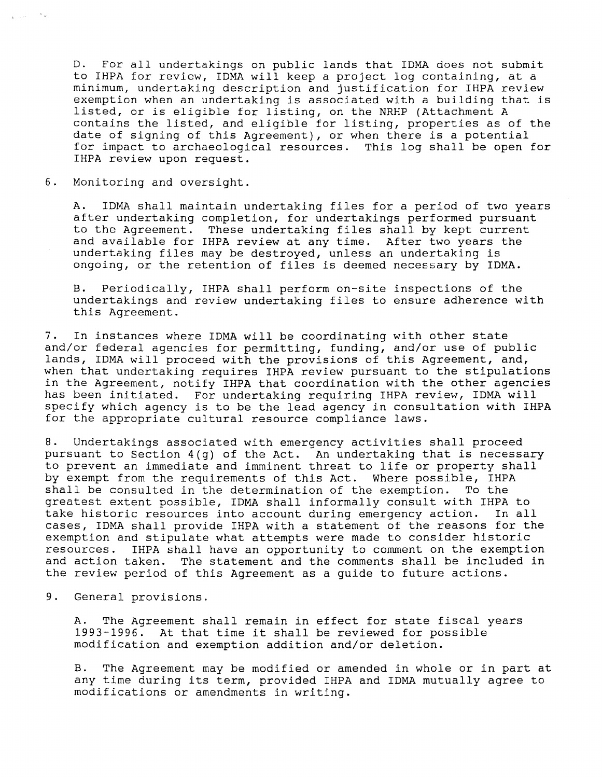D. For all undertakings on public lands that IDMA does not submit to IHPA for review, IDMA will keep a project log containing, at a minimum, undertaking description and justification for IHPA review exemption when an undertaking is associated with a building that is listed, or is eligible for listing, on the NRHP (Attachment A contains the listed, and eligible for listing, properties as of the date of signing of this Agreement), or when there is a potential for impact to archaeological resources. This log shall be open for IHPA review upon request.

6. Monitoring and oversight.

A. IDMA shall maintain undertaking files for a period of two years after undertaking completion, for undertakings performed pursuant<br>to the Agreement. These undertaking files shall by kept current These undertaking files shall by kept current and available for IHPA review at any time. After two years the undertaking files may be destroyed, unless an undertaking is ongoing, or the retention of files is deemed necessary by IDMA.

B. Periodically, IHPA shall perform on-site inspections of the undertakings and review undertaking files to ensure adherence with this Agreement.

7. In instances where IDMA will be coordinating with other state and/or federal agencies for permitting, funding, and/or use of public lands, IDMA will proceed with the provisions of this Agreement, and, when that undertaking requires IHPA review pursuant to the stipulations in the Agreement, notify IHPA that coordination with the other agencies has been initiated. For undertaking requiring IHPA review, IDMA will specify which agency is to be the lead agency in consultation with IHPA for the appropriate cultural resource compliance laws.

8. Undertakings associated with emergency activities shall proceed pursuant to Section 4(g) of the Act. An undertaking that is necessary to prevent an immediate and imminent threat to life or property shall by exempt from the requirements of this Act. Where possible, IHPA<br>shall be consulted in the determination of the exemption. To the shall be consulted in the determination of the exemption. greatest extent possible, IDMA shall informally consult with IHPA to<br>take historic resources into account during emergency action. In all take historic resources into account during emergency action. cases, IDMA shall provide IHPA with a statement of the reasons for the exemption and stipulate what attempts were made to consider historic<br>resources. IHPA shall have an opportunity to comment on the exemption IHPA shall have an opportunity to comment on the exemption and action taken. The statement and the comments shall be included in the review period of this Agreement as a guide to future actions.

9. General provisions.

A. The Agreement shall remain in effect for state fiscal years 1993-1996. At that time it shall be reviewed for possible modification and exemption addition and/or deletion.

B. The Agreement may be modified or amended in whole or in part at any time during its term, provided IHPA and IDMA mutually agree to modifications or amendments in writing.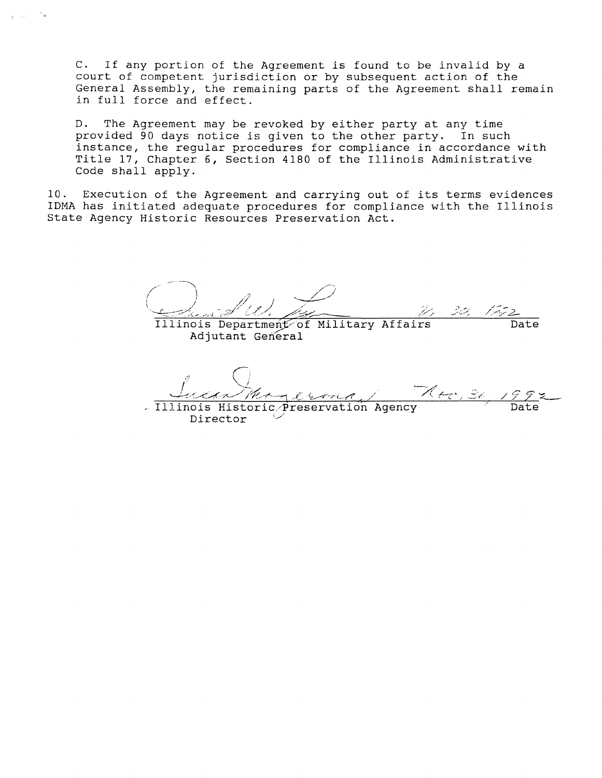C. If any portion of the Agreement is found to be invalid by a court of competent jurisdiction or by subsequent action of the General Assembly, the remaining parts of the Agreement shall remain in full force and effect.

D. The Agreement may be revoked by either party at any time provided 90 days notice is given to the other party. In such instance, the regular procedures for compliance in accordance with Title 17, Chapter 6, Section 4180 of the Illinois Administrative Code shall apply.

10. Execution of the Agreement and carrying out of its terms evidences IDMA has initiated adequate procedures for compliance with the Illinois State Agency Historic Resources Preservation Act.

Illinois Department of Military Affairs Date **Adjutant General** 

1992 **Date** Illinois Historic Preservation Agency

Director

 $\frac{1}{2\pi}$  . Then